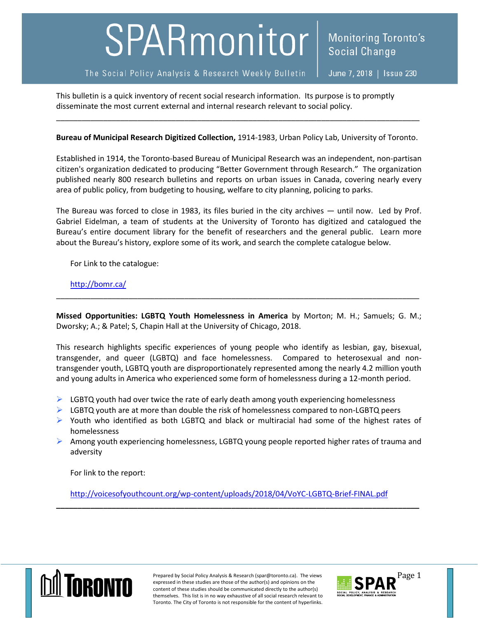## SPARmonitor

This bulletin is a quick inventory of recent social research information. Its purpose is to promptly disseminate the most current external and internal research relevant to social policy.

**Bureau of Municipal Research Digitized Collection,** 1914-1983, Urban Policy Lab, University of Toronto.

\_\_\_\_\_\_\_\_\_\_\_\_\_\_\_\_\_\_\_\_\_\_\_\_\_\_\_\_\_\_\_\_\_\_\_\_\_\_\_\_\_\_\_\_\_\_\_\_\_\_\_\_\_\_\_\_\_\_\_\_\_\_\_\_\_\_\_\_\_\_\_\_\_\_\_\_\_\_\_\_\_\_\_\_\_

Established in 1914, the Toronto-based Bureau of Municipal Research was an independent, non-partisan citizen's organization dedicated to producing "Better Government through Research." The organization published nearly 800 research bulletins and reports on urban issues in Canada, covering nearly every area of public policy, from budgeting to housing, welfare to city planning, policing to parks.

The Bureau was forced to close in 1983, its files buried in the city archives — until now. Led by Prof. Gabriel Eidelman, a team of students at the University of Toronto has digitized and catalogued the Bureau's entire document library for the benefit of researchers and the general public. Learn more about the Bureau's history, explore some of its work, and search the complete catalogue below.

For Link to the catalogue:

<http://bomr.ca/>

**Missed Opportunities: LGBTQ Youth Homelessness in America** by Morton; M. H.; Samuels; G. M.; Dworsky; A.; & Patel; S, Chapin Hall at the University of Chicago, 2018.

\_\_\_\_\_\_\_\_\_\_\_\_\_\_\_\_\_\_\_\_\_\_\_\_\_\_\_\_\_\_\_\_\_\_\_\_\_\_\_\_\_\_\_\_\_\_\_\_\_\_\_\_\_\_\_\_\_\_\_\_\_\_\_\_\_\_\_\_\_\_\_\_\_\_\_\_\_\_\_\_\_\_\_\_\_

This research highlights specific experiences of young people who identify as lesbian, gay, bisexual, transgender, and queer (LGBTQ) and face homelessness. Compared to heterosexual and nontransgender youth, LGBTQ youth are disproportionately represented among the nearly 4.2 million youth and young adults in America who experienced some form of homelessness during a 12-month period.

- $\triangleright$  LGBTQ youth had over twice the rate of early death among youth experiencing homelessness
- $\triangleright$  LGBTQ youth are at more than double the risk of homelessness compared to non-LGBTQ peers
- $\triangleright$  Youth who identified as both LGBTQ and black or multiracial had some of the highest rates of homelessness
- Among youth experiencing homelessness, LGBTQ young people reported higher rates of trauma and adversity

For link to the report:

<http://voicesofyouthcount.org/wp-content/uploads/2018/04/VoYC-LGBTQ-Brief-FINAL.pdf>

**\_\_\_\_\_\_\_\_\_\_\_\_\_\_\_\_\_\_\_\_\_\_\_\_\_\_\_\_\_\_\_\_\_\_\_\_\_\_\_\_\_\_\_\_\_\_\_\_\_\_\_\_\_\_\_\_\_\_\_\_\_\_\_\_\_\_\_\_\_\_\_\_\_\_\_\_\_\_\_\_\_\_\_\_\_**



Prepared by Social Policy Analysis & Research (spar@toronto.ca). The views Page 1 expressed in these studies are those of the author(s) and opinions on the content of these studies should be communicated directly to the author(s) themselves. This list is in no way exhaustive of all social research relevant to Toronto. The City of Toronto is not responsible for the content of hyperlinks.

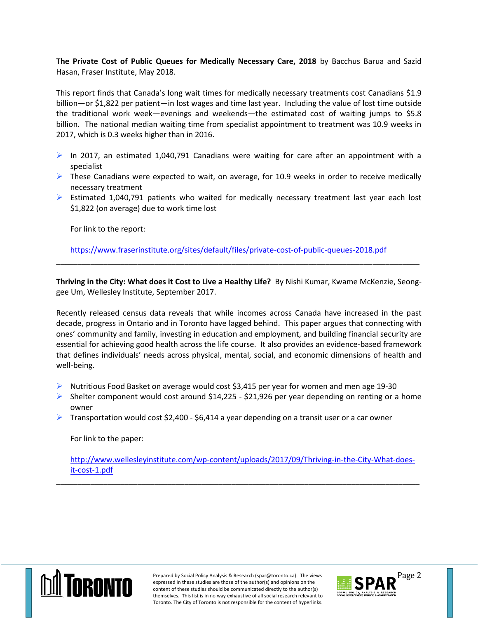**The Private Cost of Public Queues for Medically Necessary Care, 2018** by Bacchus Barua and Sazid Hasan, Fraser Institute, May 2018.

This report finds that Canada's long wait times for medically necessary treatments cost Canadians \$1.9 billion—or \$1,822 per patient—in lost wages and time last year. Including the value of lost time outside the traditional work week—evenings and weekends—the estimated cost of waiting jumps to \$5.8 billion. The national median waiting time from specialist appointment to treatment was 10.9 weeks in 2017, which is 0.3 weeks higher than in 2016.

- In 2017, an estimated 1,040,791 Canadians were waiting for care after an appointment with a specialist
- $\triangleright$  These Canadians were expected to wait, on average, for 10.9 weeks in order to receive medically necessary treatment
- $\triangleright$  Estimated 1,040,791 patients who waited for medically necessary treatment last year each lost \$1,822 (on average) due to work time lost

For link to the report:

<https://www.fraserinstitute.org/sites/default/files/private-cost-of-public-queues-2018.pdf>

**Thriving in the City: What does it Cost to Live a Healthy Life?** By Nishi Kumar, Kwame McKenzie, Seonggee Um, Wellesley Institute, September 2017.

\_\_\_\_\_\_\_\_\_\_\_\_\_\_\_\_\_\_\_\_\_\_\_\_\_\_\_\_\_\_\_\_\_\_\_\_\_\_\_\_\_\_\_\_\_\_\_\_\_\_\_\_\_\_\_\_\_\_\_\_\_\_\_\_\_\_\_\_\_\_\_\_\_\_\_\_\_\_\_\_\_\_\_\_\_

Recently released census data reveals that while incomes across Canada have increased in the past decade, progress in Ontario and in Toronto have lagged behind. This paper argues that connecting with ones' community and family, investing in education and employment, and building financial security are essential for achieving good health across the life course. It also provides an evidence-based framework that defines individuals' needs across physical, mental, social, and economic dimensions of health and well-being.

- $\triangleright$  Nutritious Food Basket on average would cost \$3,415 per year for women and men age 19-30
- $\triangleright$  Shelter component would cost around \$14,225 \$21,926 per year depending on renting or a home owner
- $\triangleright$  Transportation would cost \$2,400 \$6,414 a year depending on a transit user or a car owner

For link to the paper:

[http://www.wellesleyinstitute.com/wp-content/uploads/2017/09/Thriving-in-the-City-What-does](http://www.wellesleyinstitute.com/wp-content/uploads/2017/09/Thriving-in-the-City-What-does-it-cost-1.pdf)[it-cost-1.pdf](http://www.wellesleyinstitute.com/wp-content/uploads/2017/09/Thriving-in-the-City-What-does-it-cost-1.pdf)

\_\_\_\_\_\_\_\_\_\_\_\_\_\_\_\_\_\_\_\_\_\_\_\_\_\_\_\_\_\_\_\_\_\_\_\_\_\_\_\_\_\_\_\_\_\_\_\_\_\_\_\_\_\_\_\_\_\_\_\_\_\_\_\_\_\_\_\_\_\_\_\_\_\_\_\_\_\_\_\_\_\_\_\_\_